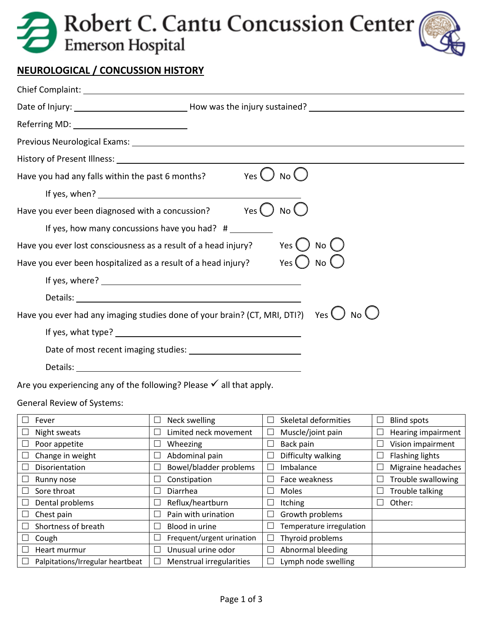# Robert C. Cantu Concussion Center



### **NEUROLOGICAL / CONCUSSION HISTORY**

| Referring MD: ____________________________                                                                    |
|---------------------------------------------------------------------------------------------------------------|
|                                                                                                               |
|                                                                                                               |
| Have you had any falls within the past 6 months? Yes $\bigcup$ No $\bigcup$                                   |
|                                                                                                               |
| Have you ever been diagnosed with a concussion? $Yes$ ()<br>No (                                              |
| If yes, how many concussions have you had? $#$                                                                |
| Yes ( ) No (<br>Have you ever lost consciousness as a result of a head injury?                                |
| Have you ever been hospitalized as a result of a head injury? Yes $\bigcirc$ No $\emptyset$                   |
|                                                                                                               |
|                                                                                                               |
| Have you ever had any imaging studies done of your brain? (CT, MRI, DTI?) Yes $\bigcup$ No $\bigcup$          |
|                                                                                                               |
|                                                                                                               |
| Details: experience and a series of the series of the series of the series of the series of the series of the |
|                                                                                                               |

Are you experiencing any of the following? Please  $\checkmark$  all that apply.

General Review of Systems:

| Fever                            | Neck swelling<br>$\Box$            | Skeletal deformities     | <b>Blind spots</b>     |
|----------------------------------|------------------------------------|--------------------------|------------------------|
| Night sweats                     | Limited neck movement              | Muscle/joint pain        | Hearing impairment     |
| Poor appetite                    | Wheezing<br>$\Box$                 | Back pain                | Vision impairment      |
| Change in weight                 | Abdominal pain                     | Difficulty walking       | <b>Flashing lights</b> |
| Disorientation                   | Bowel/bladder problems             | Imbalance                | Migraine headaches     |
| Runny nose                       | Constipation<br>$\Box$             | Face weakness            | Trouble swallowing     |
| Sore throat                      | Diarrhea                           | Moles                    | Trouble talking        |
| Dental problems                  | Reflux/heartburn<br>$\Box$         | Itching                  | Other:                 |
| Chest pain<br>×.                 | Pain with urination                | Growth problems          |                        |
| Shortness of breath              | Blood in urine                     | Temperature irregulation |                        |
| Cough                            | Frequent/urgent urination          | Thyroid problems         |                        |
| Heart murmur                     | Unusual urine odor<br>$\mathbf{L}$ | Abnormal bleeding        |                        |
| Palpitations/Irregular heartbeat | Menstrual irregularities<br>ப      | Lymph node swelling      |                        |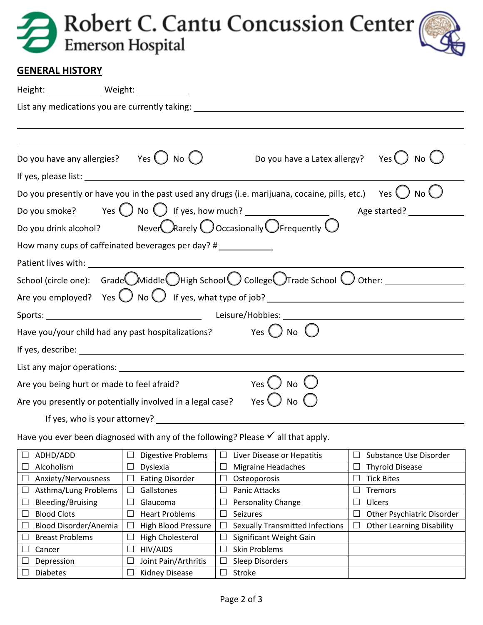|  | Robert C. Cantu Concussion Center |  |
|--|-----------------------------------|--|
|--|-----------------------------------|--|

### **GENERAL HISTORY**

| Height: _______________ Weight: ____________                                                                                |  |  |  |
|-----------------------------------------------------------------------------------------------------------------------------|--|--|--|
| List any medications you are currently taking: _________________________________                                            |  |  |  |
|                                                                                                                             |  |  |  |
|                                                                                                                             |  |  |  |
| Do you have any allergies? Yes $\bigcup$ No $\bigcup$<br>Do you have a Latex allergy? Yes $\bigcup$<br>No (                 |  |  |  |
|                                                                                                                             |  |  |  |
| Do you presently or have you in the past used any drugs (i.e. marijuana, cocaine, pills, etc.) Yes $\bigcirc$ No $\bigcirc$ |  |  |  |
| Do you smoke? Yes $\bigcirc$ No $\bigcirc$ If yes, how much? _____________________________                                  |  |  |  |
| Do you drink alcohol? Never $\bigcirc$ Rarely $\bigcirc$ Occasionally $\bigcirc$ Frequently $\bigcirc$                      |  |  |  |
| How many cups of caffeinated beverages per day? #                                                                           |  |  |  |
|                                                                                                                             |  |  |  |
| School (circle one): Grade Middle OHigh School O College OTrade School O Other: ______________________________              |  |  |  |
|                                                                                                                             |  |  |  |
|                                                                                                                             |  |  |  |
| Have you/your child had any past hospitalizations? Yes $\bigcirc$ No $\bigcirc$                                             |  |  |  |
| If yes, describe: 1999 and 2009 and 2009 and 2009 and 2009 and 2009 and 2009 and 2009 and 2009 and 2009 and 20              |  |  |  |
|                                                                                                                             |  |  |  |
| Yes $\bigcup$<br><b>No</b><br>Are you being hurt or made to feel afraid?                                                    |  |  |  |
| Are you presently or potentially involved in a legal case? Yes $\bigcup$ No $\bigcup$                                       |  |  |  |
|                                                                                                                             |  |  |  |
| Have you ever been diagnosed with any of the following? Please $\checkmark$ all that apply.                                 |  |  |  |

| ADHD/ADD                    | <b>Digestive Problems</b>  | Liver Disease or Hepatitis<br>$\overline{\phantom{a}}$ | Substance Use Disorder           |
|-----------------------------|----------------------------|--------------------------------------------------------|----------------------------------|
| Alcoholism                  | Dyslexia                   | <b>Migraine Headaches</b>                              | <b>Thyroid Disease</b>           |
| Anxiety/Nervousness<br>∟    | <b>Eating Disorder</b>     | Osteoporosis<br>$\mathcal{L}_{\mathcal{A}}$            | <b>Tick Bites</b>                |
| Asthma/Lung Problems        | Gallstones                 | <b>Panic Attacks</b>                                   | Tremors                          |
| Bleeding/Bruising           | Glaucoma                   | Personality Change                                     | Ulcers                           |
| <b>Blood Clots</b>          | <b>Heart Problems</b>      | Seizures<br>H                                          | Other Psychiatric Disorder       |
| Blood Disorder/Anemia       | <b>High Blood Pressure</b> | <b>Sexually Transmitted Infections</b>                 | <b>Other Learning Disability</b> |
| <b>Breast Problems</b><br>L | High Cholesterol           | Significant Weight Gain                                |                                  |
| Cancer                      | HIV/AIDS                   | <b>Skin Problems</b>                                   |                                  |
| Depression                  | Joint Pain/Arthritis       | Sleep Disorders                                        |                                  |
| <b>Diabetes</b>             | <b>Kidney Disease</b>      | Stroke                                                 |                                  |